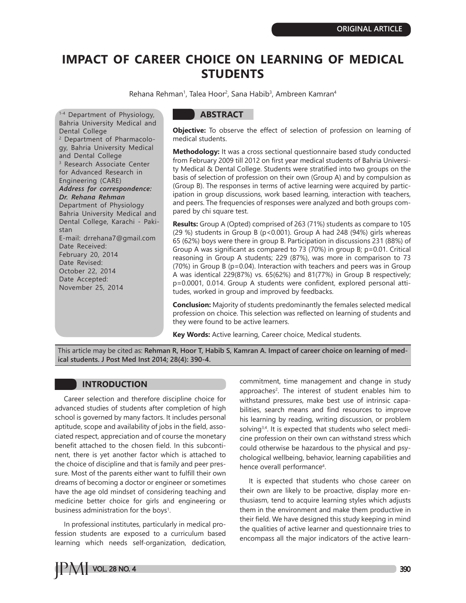# **IMPACT OF CAREER CHOICE ON LEARNING OF MEDICAL STUDENTS**

Rehana Rehman<sup>1</sup>, Talea Hoor<sup>2</sup>, Sana Habib<sup>3</sup>, Ambreen Kamran<sup>4</sup>

1-4 Department of Physiology, Bahria University Medical and Dental College 2 Department of Pharmacology, Bahria University Medical and Dental College 3 Research Associate Center for Advanced Research in Engineering (CARE) *Address for correspondence: Dr. Rehana Rehman* Department of Physiology Bahria University Medical and Dental College, Karachi - Pakistan E-mail: drrehana7@gmail.com Date Received: February 20, 2014 Date Revised: October 22, 2014 Date Accepted: November 25, 2014

# **ABSTRACT**

**Objective:** To observe the effect of selection of profession on learning of medical students.

**Methodology:** It was a cross sectional questionnaire based study conducted from February 2009 till 2012 on first year medical students of Bahria University Medical & Dental College. Students were stratified into two groups on the basis of selection of profession on their own (Group A) and by compulsion as (Group B). The responses in terms of active learning were acquired by participation in group discussions, work based learning, interaction with teachers, and peers. The frequencies of responses were analyzed and both groups compared by chi square test.

**Results:** Group A (Opted) comprised of 263 (71%) students as compare to 105 (29 %) students in Group B (p<0.001). Group A had 248 (94%) girls whereas 65 (62%) boys were there in group B. Participation in discussions 231 (88%) of Group A was significant as compared to 73 (70%) in group B; p=0.01. Critical reasoning in Group A students; 229 (87%), was more in comparison to 73 (70%) in Group B (p=0.04). Interaction with teachers and peers was in Group A was identical 229(87%) vs. 65(62%) and 81(77%) in Group B respectively; p=0.0001, 0.014. Group A students were confident, explored personal attitudes, worked in group and improved by feedbacks.

**Conclusion:** Majority of students predominantly the females selected medical profession on choice. This selection was reflected on learning of students and they were found to be active learners.

**Key Words:** Active learning, Career choice, Medical students.

This article may be cited as: **Rehman R, Hoor T, Habib S, Kamran A. Impact of career choice on learning of medical students. J Post Med Inst 2014; 28(4): 390-4.**

# **INTRODUCTION**

Career selection and therefore discipline choice for advanced studies of students after completion of high school is governed by many factors. It includes personal aptitude, scope and availability of jobs in the field, associated respect, appreciation and of course the monetary benefit attached to the chosen field. In this subcontinent, there is yet another factor which is attached to the choice of discipline and that is family and peer pressure. Most of the parents either want to fulfill their own dreams of becoming a doctor or engineer or sometimes have the age old mindset of considering teaching and medicine better choice for girls and engineering or business administration for the boys<sup>1</sup>.

In professional institutes, particularly in medical profession students are exposed to a curriculum based learning which needs self-organization, dedication,

commitment, time management and change in study approaches<sup>2</sup>. The interest of student enables him to withstand pressures, make best use of intrinsic capabilities, search means and find resources to improve his learning by reading, writing discussion, or problem solving<sup>3,4</sup>. It is expected that students who select medicine profession on their own can withstand stress which could otherwise be hazardous to the physical and psychological wellbeing, behavior, learning capabilities and hence overall performance<sup>4</sup>.

It is expected that students who chose career on their own are likely to be proactive, display more enthusiasm, tend to acquire learning styles which adjusts them in the environment and make them productive in their field. We have designed this study keeping in mind the qualities of active learner and questionnaire tries to encompass all the major indicators of the active learn-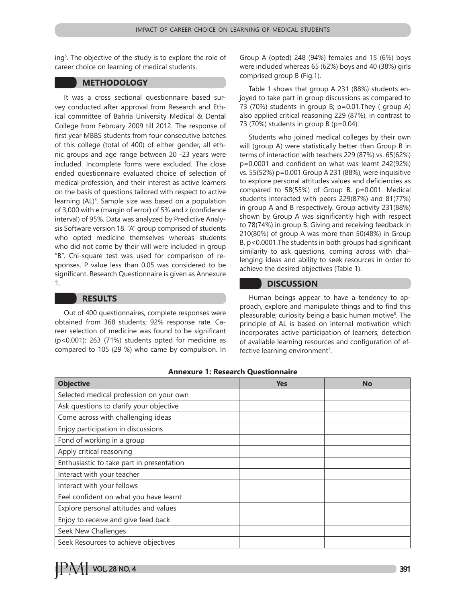ing5 . The objective of the study is to explore the role of career choice on learning of medical students.

# **METHODOLOGY**

It was a cross sectional questionnaire based survey conducted after approval from Research and Ethical committee of Bahria University Medical & Dental College from February 2009 till 2012. The response of first year MBBS students from four consecutive batches of this college (total of 400) of either gender, all ethnic groups and age range between 20 -23 years were included. Incomplete forms were excluded. The close ended questionnaire evaluated choice of selection of medical profession, and their interest as active learners on the basis of questions tailored with respect to active learning (AL)<sup>5</sup>. Sample size was based on a population of 3,000 with e (margin of error) of 5% and z (confidence interval) of 95%. Data was analyzed by Predictive Analysis Software version 18. "A" group comprised of students who opted medicine themselves whereas students who did not come by their will were included in group "B". Chi-square test was used for comparison of responses. P value less than 0.05 was considered to be significant. Research Questionnaire is given as Annexure 1.

# **RESULTS**

Out of 400 questionnaires, complete responses were obtained from 368 students; 92% response rate. Career selection of medicine was found to be significant (p<0.001); 263 (71%) students opted for medicine as compared to 105 (29 %) who came by compulsion. In Group A (opted) 248 (94%) females and 15 (6%) boys were included whereas 65 (62%) boys and 40 (38%) girls comprised group B (Fig.1).

Table 1 shows that group A 231 (88%) students enjoyed to take part in group discussions as compared to 73 (70%) students in group B; p=0.01.They ( group A) also applied critical reasoning 229 (87%), in contrast to 73 (70%) students in group B (p=0.04).

Students who joined medical colleges by their own will (group A) were statistically better than Group B in terms of interaction with teachers 229 (87%) vs. 65(62%) p=0.0001 and confident on what was learnt 242(92%) vs. 55(52%) p=0.001.Group A 231 (88%), were inquisitive to explore personal attitudes values and deficiencies as compared to 58(55%) of Group B, p=0.001. Medical students interacted with peers 229(87%) and 81(77%) in group A and B respectively. Group activity 231(88%) shown by Group A was significantly high with respect to 78(74%) in group B. Giving and receiving feedback in 210(80%) of group A was more than 50(48%) in Group B, p<0.0001.The students in both groups had significant similarity to ask questions, coming across with challenging ideas and ability to seek resources in order to achieve the desired objectives (Table 1).

## **DISCUSSION**

Human beings appear to have a tendency to approach, explore and manipulate things and to find this pleasurable; curiosity being a basic human motive<sup>6</sup>. The principle of AL is based on internal motivation which incorporates active participation of learners, detection of available learning resources and configuration of effective learning environment<sup>7</sup>.

| <b>Objective</b>                          | <b>Yes</b> | <b>No</b> |
|-------------------------------------------|------------|-----------|
| Selected medical profession on your own   |            |           |
| Ask questions to clarify your objective   |            |           |
| Come across with challenging ideas        |            |           |
| Enjoy participation in discussions        |            |           |
| Fond of working in a group                |            |           |
| Apply critical reasoning                  |            |           |
| Enthusiastic to take part in presentation |            |           |
| Interact with your teacher                |            |           |
| Interact with your fellows                |            |           |
| Feel confident on what you have learnt    |            |           |
| Explore personal attitudes and values     |            |           |
| Enjoy to receive and give feed back       |            |           |
| Seek New Challenges                       |            |           |
| Seek Resources to achieve objectives      |            |           |

#### **Annexure 1: Research Questionnaire**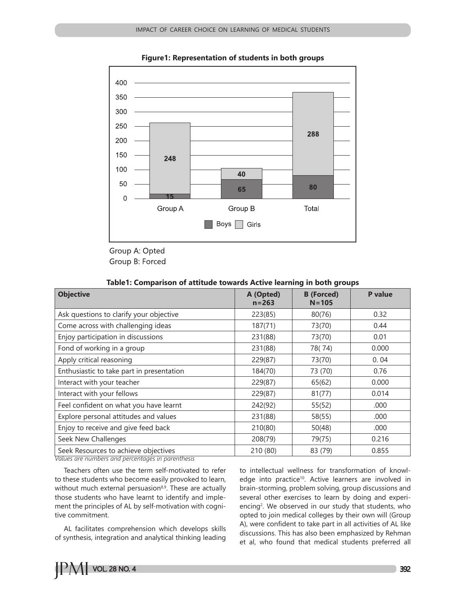

**Figure1: Representation of students in both groups**

## **Table1: Comparison of attitude towards Active learning in both groups**

| <b>Objective</b>                          | A (Opted)<br>$n = 263$ | <b>B</b> (Forced)<br>$N = 105$ | P value |
|-------------------------------------------|------------------------|--------------------------------|---------|
| Ask questions to clarify your objective   | 223(85)                | 80(76)                         | 0.32    |
| Come across with challenging ideas        | 187(71)                | 73(70)                         | 0.44    |
| Enjoy participation in discussions        | 231(88)                | 73(70)                         | 0.01    |
| Fond of working in a group                | 231(88)                | 78(74)                         | 0.000   |
| Apply critical reasoning                  | 229(87)                | 73(70)                         | 0.04    |
| Enthusiastic to take part in presentation | 184(70)                | 73 (70)                        | 0.76    |
| Interact with your teacher                | 229(87)                | 65(62)                         | 0.000   |
| Interact with your fellows                | 229(87)                | 81(77)                         | 0.014   |
| Feel confident on what you have learnt    | 242(92)                | 55(52)                         | .000    |
| Explore personal attitudes and values     | 231(88)                | 58(55)                         | .000    |
| Enjoy to receive and give feed back       | 210(80)                | 50(48)                         | .000    |
| Seek New Challenges                       | 208(79)                | 79(75)                         | 0.216   |
| Seek Resources to achieve objectives      | 210 (80)               | 83 (79)                        | 0.855   |

*Values are numbers and percentages in parenthesis*

Teachers often use the term self-motivated to refer to these students who become easily provoked to learn, without much external persuasion<sup>8,9</sup>. These are actually those students who have learnt to identify and implement the principles of AL by self-motivation with cognitive commitment.

AL facilitates comprehension which develops skills of synthesis, integration and analytical thinking leading to intellectual wellness for transformation of knowledge into practice<sup>10</sup>. Active learners are involved in brain-storming, problem solving, group discussions and several other exercises to learn by doing and experiencing<sup>2</sup>. We observed in our study that students, who opted to join medical colleges by their own will (Group A), were confident to take part in all activities of AL like discussions. This has also been emphasized by Rehman et al, who found that medical students preferred all

Group A: Opted Group B: Forced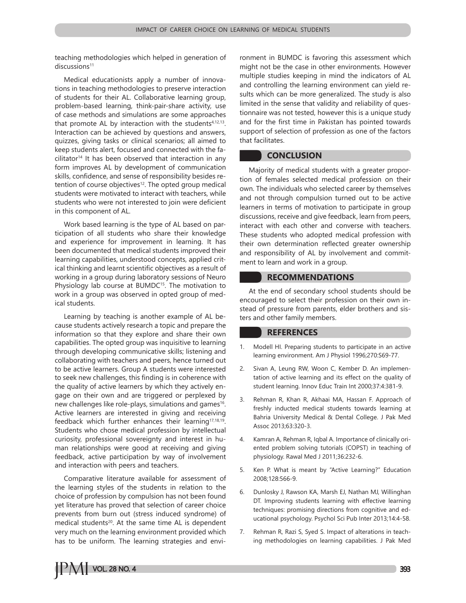teaching methodologies which helped in generation of  $discussions<sup>11</sup>$ 

Medical educationists apply a number of innovations in teaching methodologies to preserve interaction of students for their AL. Collaborative learning group, problem-based learning, think-pair-share activity, use of case methods and simulations are some approaches that promote AL by interaction with the students $4,12,13$ . Interaction can be achieved by questions and answers, quizzes, giving tasks or clinical scenarios; all aimed to keep students alert, focused and connected with the facilitator<sup>14</sup> It has been observed that interaction in any form improves AL by development of communication skills, confidence, and sense of responsibility besides retention of course objectives<sup>12</sup>. The opted group medical students were motivated to interact with teachers, while students who were not interested to join were deficient in this component of AL.

Work based learning is the type of AL based on participation of all students who share their knowledge and experience for improvement in learning. It has been documented that medical students improved their learning capabilities, understood concepts, applied critical thinking and learnt scientific objectives as a result of working in a group during laboratory sessions of Neuro Physiology lab course at BUMDC<sup>15</sup>. The motivation to work in a group was observed in opted group of medical students.

Learning by teaching is another example of AL because students actively research a topic and prepare the information so that they explore and share their own capabilities. The opted group was inquisitive to learning through developing communicative skills; listening and collaborating with teachers and peers, hence turned out to be active learners. Group A students were interested to seek new challenges, this finding is in coherence with the quality of active learners by which they actively engage on their own and are triggered or perplexed by new challenges like role-plays, simulations and games<sup>16</sup>. Active learners are interested in giving and receiving feedback which further enhances their learning<sup>17,18,19</sup>. Students who chose medical profession by intellectual curiosity, professional sovereignty and interest in human relationships were good at receiving and giving feedback, active participation by way of involvement and interaction with peers and teachers.

Comparative literature available for assessment of the learning styles of the students in relation to the choice of profession by compulsion has not been found yet literature has proved that selection of career choice prevents from burn out (stress induced syndrome) of medical students<sup>20</sup>. At the same time AL is dependent very much on the learning environment provided which has to be uniform. The learning strategies and environment in BUMDC is favoring this assessment which might not be the case in other environments. However multiple studies keeping in mind the indicators of AL and controlling the learning environment can yield results which can be more generalized. The study is also limited in the sense that validity and reliability of questionnaire was not tested, however this is a unique study and for the first time in Pakistan has pointed towards support of selection of profession as one of the factors that facilitates.

# **CONCLUSION**

Majority of medical students with a greater proportion of females selected medical profession on their own. The individuals who selected career by themselves and not through compulsion turned out to be active learners in terms of motivation to participate in group discussions, receive and give feedback, learn from peers, interact with each other and converse with teachers. These students who adopted medical profession with their own determination reflected greater ownership and responsibility of AL by involvement and commitment to learn and work in a group.

## **RECOMMENDATIONS**

At the end of secondary school students should be encouraged to select their profession on their own instead of pressure from parents, elder brothers and sisters and other family members.

## **REFERENCES**

- 1. Modell HI. Preparing students to participate in an active learning environment. Am J Physiol 1996;270:S69-77.
- 2. Sivan A, Leung RW, Woon C, Kember D. An implementation of active learning and its effect on the quality of student learning. Innov Educ Train Int 2000;37:4:381-9.
- 3. Rehman R, Khan R, Akhaai MA, Hassan F. Approach of freshly inducted medical students towards learning at Bahria University Medical & Dental College. J Pak Med Assoc 2013;63:320-3.
- 4. Kamran A, Rehman R, Iqbal A. Importance of clinically oriented problem solving tutorials (COPST) in teaching of physiology. Rawal Med J 2011;36:232-6.
- 5. Ken P. What is meant by "Active Learning?" Education 2008;128:566-9.
- 6. Dunlosky J, Rawson KA, Marsh EJ, Nathan MJ, Willinghan DT. Improving students learning with effective learning techniques: promising directions from cognitive and educational psychology. Psychol Sci Pub Inter 2013;14:4-58.
- 7. Rehman R, Razi S, Syed S. Impact of alterations in teaching methodologies on learning capabilities. J Pak Med